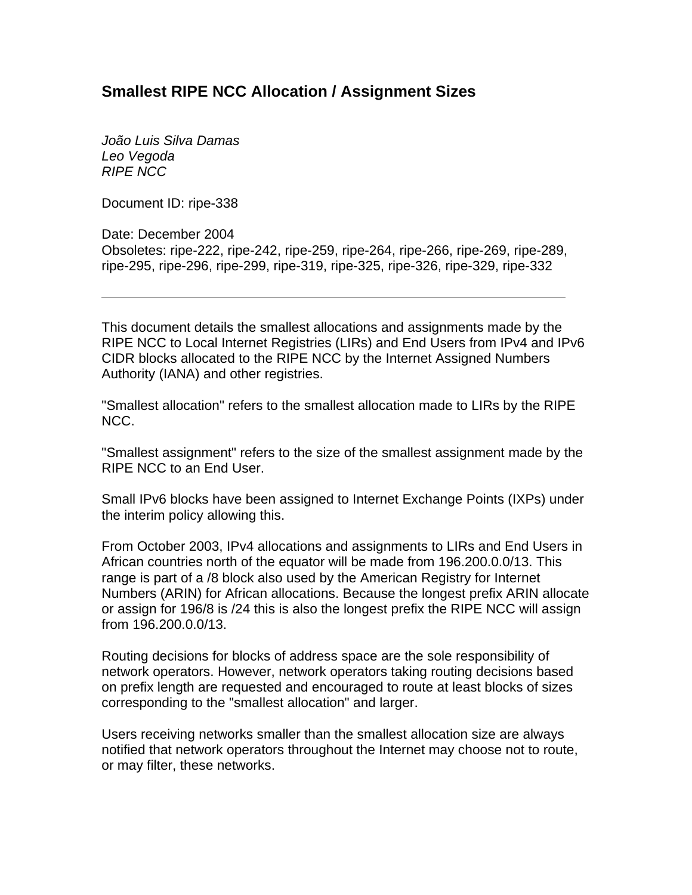## **Smallest RIPE NCC Allocation / Assignment Sizes**

*João Luis Silva Damas Leo Vegoda RIPE NCC* 

Document ID: ripe-338

Date: December 2004 Obsoletes: ripe-222, ripe-242, ripe-259, ripe-264, ripe-266, ripe-269, ripe-289, ripe-295, ripe-296, ripe-299, ripe-319, ripe-325, ripe-326, ripe-329, ripe-332

This document details the smallest allocations and assignments made by the RIPE NCC to Local Internet Registries (LIRs) and End Users from IPv4 and IPv6 CIDR blocks allocated to the RIPE NCC by the Internet Assigned Numbers Authority (IANA) and other registries.

"Smallest allocation" refers to the smallest allocation made to LIRs by the RIPE NCC.

"Smallest assignment" refers to the size of the smallest assignment made by the RIPE NCC to an End User.

Small IPv6 blocks have been assigned to Internet Exchange Points (IXPs) under the interim policy allowing this.

From October 2003, IPv4 allocations and assignments to LIRs and End Users in African countries north of the equator will be made from 196.200.0.0/13. This range is part of a /8 block also used by the American Registry for Internet Numbers (ARIN) for African allocations. Because the longest prefix ARIN allocate or assign for 196/8 is /24 this is also the longest prefix the RIPE NCC will assign from 196.200.0.0/13.

Routing decisions for blocks of address space are the sole responsibility of network operators. However, network operators taking routing decisions based on prefix length are requested and encouraged to route at least blocks of sizes corresponding to the "smallest allocation" and larger.

Users receiving networks smaller than the smallest allocation size are always notified that network operators throughout the Internet may choose not to route, or may filter, these networks.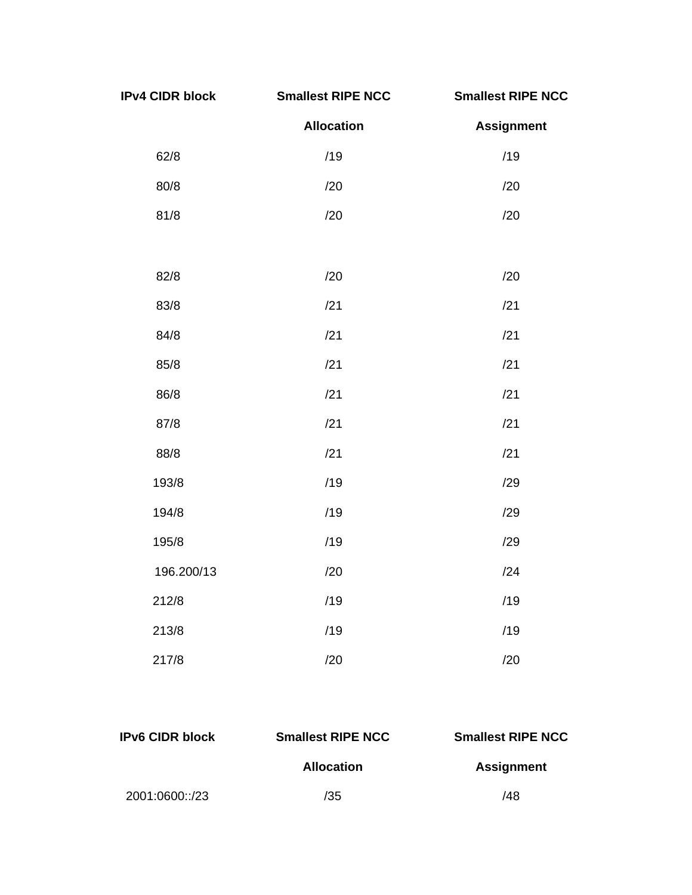| <b>IPv4 CIDR block</b> | <b>Smallest RIPE NCC</b> | <b>Smallest RIPE NCC</b> |
|------------------------|--------------------------|--------------------------|
|                        | <b>Allocation</b>        | <b>Assignment</b>        |
| 62/8                   | /19                      | /19                      |
| 80/8                   | /20                      | /20                      |
| 81/8                   | /20                      | /20                      |
|                        |                          |                          |
| 82/8                   | /20                      | /20                      |
| 83/8                   | /21                      | /21                      |
| 84/8                   | /21                      | /21                      |
| 85/8                   | /21                      | /21                      |
| 86/8                   | /21                      | /21                      |
| 87/8                   | /21                      | /21                      |
| 88/8                   | /21                      | /21                      |
| 193/8                  | /19                      | /29                      |
| 194/8                  | /19                      | /29                      |
| 195/8                  | /19                      | /29                      |
| 196.200/13             | /20                      | /24                      |
| 212/8                  | /19                      | /19                      |
| 213/8                  | /19                      | /19                      |
| 217/8                  | /20                      | /20                      |

| <b>IPv6 CIDR block</b> | <b>Smallest RIPE NCC</b> | <b>Smallest RIPE NCC</b> |  |
|------------------------|--------------------------|--------------------------|--|
|                        | <b>Allocation</b>        | <b>Assignment</b>        |  |
| 2001:0600::/23         | /35                      | /48                      |  |